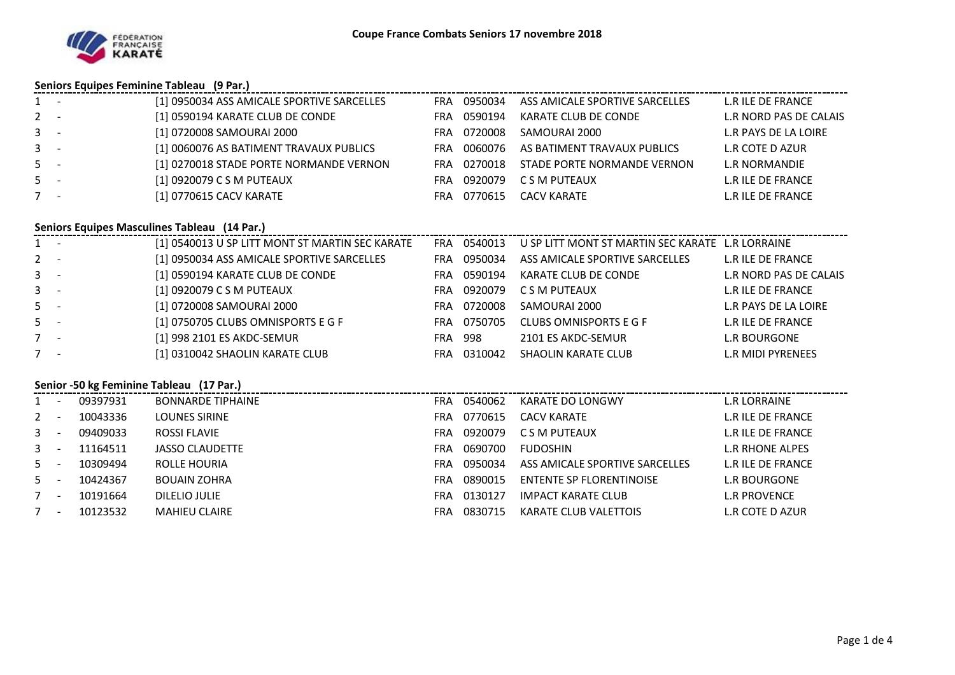

#### **Seniors Equipes Feminine Tableau (9 Par.)**

| $1 -$   | [1] 0950034 ASS AMICALE SPORTIVE SARCELLES | FRA  | 0950034 | ASS AMICALE SPORTIVE SARCELLES | L.R ILE DE FRANCE        |
|---------|--------------------------------------------|------|---------|--------------------------------|--------------------------|
| $2 -$   | [1] 0590194 KARATE CLUB DE CONDE           | FRA  | 0590194 | KARATE CLUB DE CONDE           | L.R NORD PAS DE CALAIS   |
| $3 - -$ | [1] 0720008 SAMOURAI 2000                  | FRA. | 0720008 | SAMOURAI 2000                  | L.R PAYS DE LA LOIRE     |
| $3 - -$ | [1] 0060076 AS BATIMENT TRAVAUX PUBLICS    | FRA  | 0060076 | AS BATIMENT TRAVAUX PUBLICS    | L.R COTE D AZUR          |
| $5 -$   | [1] 0270018 STADE PORTE NORMANDE VERNON    | FRA  | 0270018 | STADE PORTE NORMANDE VERNON    | L.R NORMANDIE            |
| $5 -$   | [1] 0920079 C S M PUTEAUX                  | FRA  | 0920079 | C S M PUTEAUX                  | <b>L.R ILE DE FRANCE</b> |
| $7 -$   | [1] 0770615 CACV KARATE                    | FRA  | 0770615 | CACV KARATE                    | <b>L.R ILE DE FRANCE</b> |

#### **Seniors Equipes Masculines Tableau (14 Par.)**

|         | 3 Seniors Equipes Masculines Tableau (14 Fail) |                                                 |            |         |                                                  |                        |  |  |  |  |  |
|---------|------------------------------------------------|-------------------------------------------------|------------|---------|--------------------------------------------------|------------------------|--|--|--|--|--|
| $1 -$   |                                                | [1] 0540013 U SP LITT MONT ST MARTIN SEC KARATE | <b>FRA</b> | 0540013 | U SP LITT MONT ST MARTIN SEC KARATE L.R LORRAINE |                        |  |  |  |  |  |
| $2 -$   |                                                | [1] 0950034 ASS AMICALE SPORTIVE SARCELLES      | <b>FRA</b> | 0950034 | ASS AMICALE SPORTIVE SARCELLES                   | L.R ILE DE FRANCE      |  |  |  |  |  |
| $3 - 5$ |                                                | [1] 0590194 KARATE CLUB DE CONDE                | FRA        | 0590194 | KARATE CLUB DE CONDE                             | L.R NORD PAS DE CALAIS |  |  |  |  |  |
| $3 -$   |                                                | [1] 0920079 C S M PUTEAUX                       | FRA        | 0920079 | C S M PUTEAUX                                    | L.R ILE DE FRANCE      |  |  |  |  |  |
| $5 -$   |                                                | [1] 0720008 SAMOURAI 2000                       | FRA.       | 0720008 | SAMOURAI 2000                                    | L.R PAYS DE LA LOIRE   |  |  |  |  |  |
| $5 -$   |                                                | [1] 0750705 CLUBS OMNISPORTS E G F              | FRA        | 0750705 | CLUBS OMNISPORTS E G F                           | L.R ILE DE FRANCE      |  |  |  |  |  |
| $7 -$   |                                                | [1] 998 2101 ES AKDC-SEMUR                      | FRA        | 998     | 2101 ES AKDC-SEMUR                               | <b>L.R BOURGONE</b>    |  |  |  |  |  |
| $7 -$   |                                                | [1] 0310042 SHAOLIN KARATE CLUB                 | <b>FRA</b> | 0310042 | SHAOLIN KARATE CLUB                              | L.R MIDI PYRENEES      |  |  |  |  |  |

### **Senior -50 kg Feminine Tableau (17 Par.)**

| $1 -$ |        | 09397931 | <b>BONNARDE TIPHAINE</b> | <b>FRA</b> | 0540062 | KARATE DO LONGWY               | L.R LORRAINE             |
|-------|--------|----------|--------------------------|------------|---------|--------------------------------|--------------------------|
| $2 -$ |        | 10043336 | LOUNES SIRINE            | FRA.       | 0770615 | CACV KARATE                    | L.R ILE DE FRANCE        |
| $3 -$ |        | 09409033 | ROSSI FLAVIE             | <b>FRA</b> | 0920079 | C S M PUTEAUX                  | L.R ILE DE FRANCE        |
| $3 -$ |        | 11164511 | JASSO CLAUDETTE          | <b>FRA</b> | 0690700 | <b>FUDOSHIN</b>                | L.R RHONE ALPES          |
| $5 -$ |        | 10309494 | ROLLE HOURIA             | <b>FRA</b> | 0950034 | ASS AMICALE SPORTIVE SARCELLES | <b>L.R ILE DE FRANCE</b> |
| $5 -$ |        | 10424367 | <b>BOUAIN ZOHRA</b>      | <b>FRA</b> | 0890015 | ENTENTE SP FLORENTINOISE       | L.R BOURGONE             |
|       | $\sim$ | 10191664 | DILELIO JULIE            | <b>FRA</b> | 0130127 | IMPACT KARATE CLUB             | L.R PROVENCE             |
| $7 -$ |        | 10123532 | <b>MAHIEU CLAIRE</b>     | FRA        | 0830715 | KARATE CLUB VALETTOIS          | L.R COTE D AZUR          |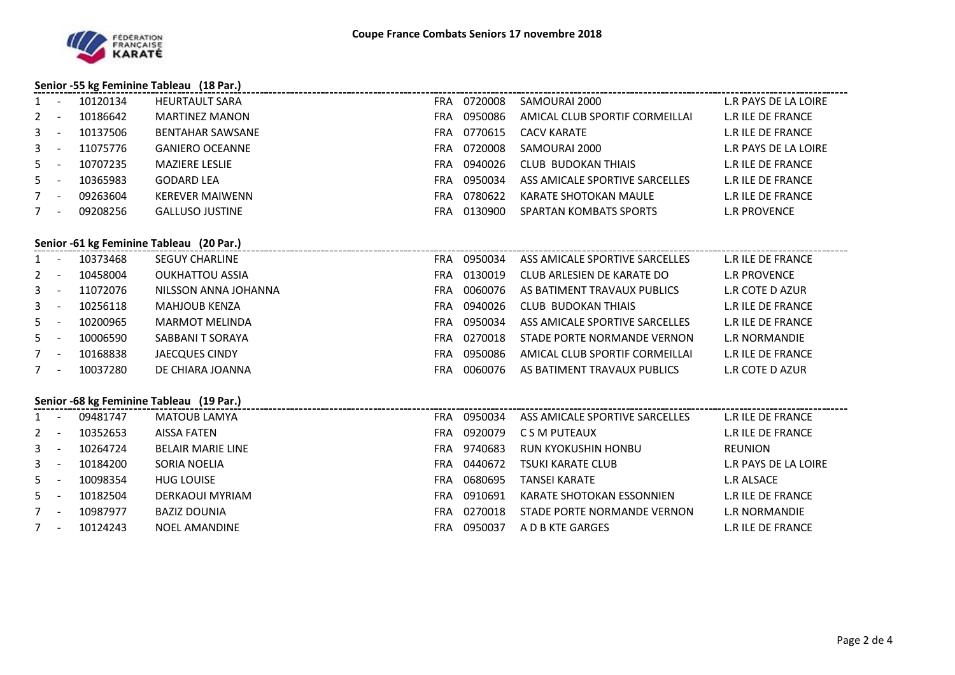

## **Senior -55 kg Feminine Tableau (18 Par.)**

| $1 -$                    | 10120134 | <b>HEURTAULT SARA</b>  | 0720008<br><b>FRA</b> | SAMOURAI 2000                  | L.R PAYS DE LA LOIRE     |
|--------------------------|----------|------------------------|-----------------------|--------------------------------|--------------------------|
| $2 -$                    | 10186642 | <b>MARTINEZ MANON</b>  | 0950086<br><b>FRA</b> | AMICAL CLUB SPORTIF CORMEILLAI | <b>L.R ILE DE FRANCE</b> |
| $3 -$                    | 10137506 | BENTAHAR SAWSANE       | 0770615<br><b>FRA</b> | CACV KARATE                    | <b>L.R ILE DE FRANCE</b> |
| $3 - 5$                  | 11075776 | <b>GANIERO OCEANNE</b> | 0720008<br>FRA        | SAMOURAI 2000                  | L.R PAYS DE LA LOIRE     |
| $5 -$                    | 10707235 | <b>MAZIERE LESLIE</b>  | 0940026<br><b>FRA</b> | CLUB BUDOKAN THIAIS            | L.R ILE DE FRANCE        |
| $5 -$                    | 10365983 | <b>GODARD LEA</b>      | 0950034<br><b>FRA</b> | ASS AMICALE SPORTIVE SARCELLES | L.R ILE DE FRANCE        |
| $\sim$                   | 09263604 | <b>KEREVER MAIWENN</b> | 0780622<br><b>FRA</b> | KARATE SHOTOKAN MAULE          | <b>L.R ILE DE FRANCE</b> |
| $\overline{\phantom{a}}$ | 09208256 | <b>GALLUSO JUSTINE</b> | 0130900<br>FRA        | <b>SPARTAN KOMBATS SPORTS</b>  | <b>L.R PROVENCE</b>      |

# **Senior -61 kg Feminine Tableau (20 Par.)**

|               |          | J                     |     |         |                                |                   |
|---------------|----------|-----------------------|-----|---------|--------------------------------|-------------------|
| $1 -$         | 10373468 | SEGUY CHARLINE        | FRA | 0950034 | ASS AMICALE SPORTIVE SARCELLES | L.R ILE DE FRANCE |
| $2 -$         | 10458004 | OUKHATTOU ASSIA       | FRA | 0130019 | CLUB ARLESIEN DE KARATE DO     | R PROVENCE        |
| $\sim$ $\sim$ | 11072076 | NII SSON ANNA IOHANNA | FRΔ | በበ6በበ76 | AS RATIMENT TRAVALIX PLIRLICS  | $R$ COTE D AZIIR  |

| $3 - 1$ | 11072076 | NILSSON ANNA JOHANNA | FRA | .0060076 | AS BATIMENT TRAVAUX PUBLICS    | L.R COTE D AZUR   |
|---------|----------|----------------------|-----|----------|--------------------------------|-------------------|
| $3 - 1$ | 10256118 | MAHJOUB KENZA        | FRA | 0940026  | CLUB BUDOKAN THIAIS            | L.R ILE DE FRANCE |
| $5 -$   | 10200965 | MARMOT MELINDA       | FRA | 0950034  | ASS AMICALE SPORTIVE SARCELLES | L.R ILE DE FRANCE |
| $5 -$   | 10006590 | SABBANI T SORAYA     | FRA | 0270018  | STADE PORTE NORMANDE VERNON    | L.R.NORMANDIE     |
| $7 -$   | 10168838 | JAECQUES CINDY       | FRA | 0950086  | AMICAL CLUB SPORTIF CORMEILLAI | L.R ILE DE FRANCE |
| $7 -$   | 10037280 | DE CHIARA JOANNA     | FRA | 0060076  | AS BATIMENT TRAVAUX PUBLICS    | L.R COTE D AZUR   |

#### **Senior -68 kg Feminine Tableau (19 Par.)**

| $1 -$ | 09481747 | MATOUB LAMYA             | <b>FRA</b> | 0950034 | ASS AMICALE SPORTIVE SARCELLES | L.R ILE DE FRANCE        |
|-------|----------|--------------------------|------------|---------|--------------------------------|--------------------------|
| $2 -$ | 10352653 | AISSA FATEN              | FRA        | 0920079 | C S M PUTEAUX                  | L.R ILE DE FRANCE        |
| $3 -$ | 10264724 | <b>BELAIR MARIE LINE</b> | FRA        | 9740683 | RUN KYOKUSHIN HONBU            | REUNION                  |
| $3 -$ | 10184200 | SORIA NOELIA             | FRA.       | 0440672 | TSUKI KARATE CLUB              | L.R PAYS DE LA LOIRE     |
| $5 -$ | 10098354 | <b>HUG LOUISE</b>        | <b>FRA</b> | 0680695 | TANSEI KARATE                  | <b>L.R ALSACE</b>        |
| $5 -$ | 10182504 | DERKAOUI MYRIAM          | FRA.       | 0910691 | KARATE SHOTOKAN ESSONNIEN      | L.R ILE DE FRANCE        |
| $7 -$ | 10987977 | <b>BAZIZ DOUNIA</b>      | FRA        | 0270018 | STADE PORTE NORMANDE VERNON    | L.R NORMANDIE            |
| $7 -$ | 10124243 | <b>NOEL AMANDINE</b>     | FRA        | 0950037 | A D B KTE GARGES               | <b>L.R ILE DE FRANCE</b> |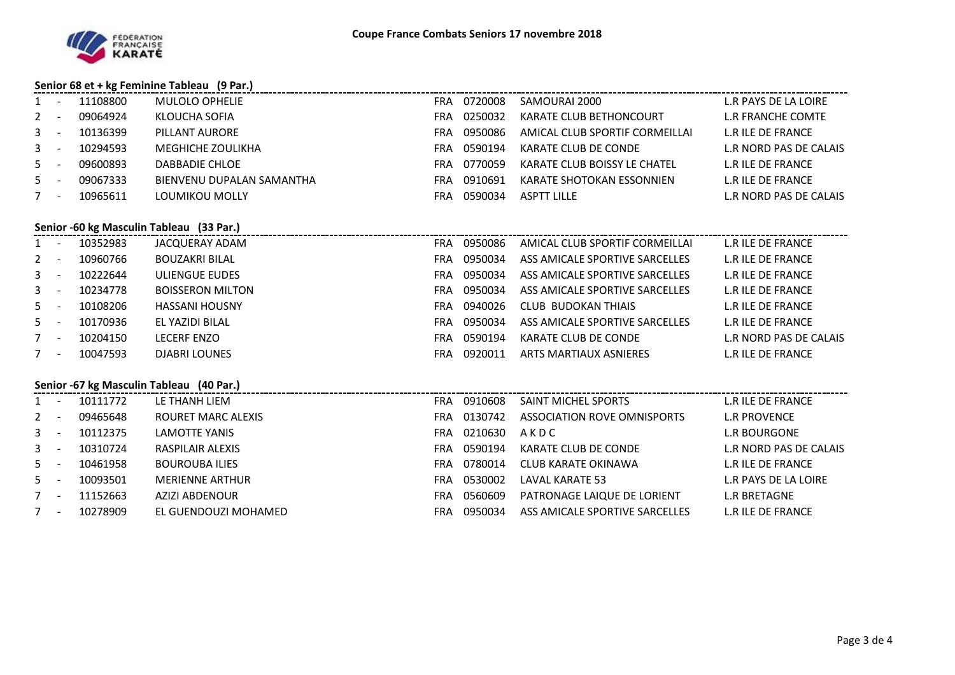

#### **Senior 68 et + kg Feminine Tableau (9 Par.)**

| 1              |                                          | 11108800     | <b>MULOLO OPHELIE</b>                                                                |            |             | FRA 0720008 SAMOURAI 2000      | L.R PAYS DE LA LOIRE   |  |  |  |  |
|----------------|------------------------------------------|--------------|--------------------------------------------------------------------------------------|------------|-------------|--------------------------------|------------------------|--|--|--|--|
|                |                                          |              |                                                                                      |            |             |                                |                        |  |  |  |  |
| 2              | $\sim$                                   | 09064924     | KLOUCHA SOFIA                                                                        |            | FRA 0250032 | KARATE CLUB BETHONCOURT        | L.R FRANCHE COMTE      |  |  |  |  |
| $3 - 1$        |                                          | 10136399     | PILLANT AURORE                                                                       |            | FRA 0950086 | AMICAL CLUB SPORTIF CORMEILLAI | L.R ILE DE FRANCE      |  |  |  |  |
| 3 <sup>1</sup> | $\sim$                                   | 10294593     | MEGHICHE ZOULIKHA                                                                    |            | FRA 0590194 | KARATE CLUB DE CONDE           | L.R NORD PAS DE CALAIS |  |  |  |  |
| $5 -$          |                                          | 09600893     | DABBADIE CHLOE                                                                       |            | FRA 0770059 | KARATE CLUB BOISSY LE CHATEL   | L.R ILE DE FRANCE      |  |  |  |  |
| 5              | $\sim$ $-$                               | 09067333     | BIENVENU DUPALAN SAMANTHA                                                            |            | FRA 0910691 | KARATE SHOTOKAN ESSONNIEN      | L.R ILE DE FRANCE      |  |  |  |  |
| $7 -$          |                                          | 10965611     | LOUMIKOU MOLLY                                                                       |            | FRA 0590034 | <b>ASPTT LILLE</b>             | L.R NORD PAS DE CALAIS |  |  |  |  |
|                | Senior -60 kg Masculin Tableau (33 Par.) |              |                                                                                      |            |             |                                |                        |  |  |  |  |
|                |                                          | 1 - 10352983 | JACQUERAY ADAM                                                                       |            | FRA 0950086 | AMICAL CLUB SPORTIF CORMEILLAI | L.R ILE DE FRANCE      |  |  |  |  |
| $2 -$          |                                          | 10960766     | <b>BOUZAKRI BILAL</b>                                                                |            | FRA 0950034 | ASS AMICALE SPORTIVE SARCELLES | L.R ILE DE FRANCE      |  |  |  |  |
| $3 - -$        |                                          | 10222644     | ULIENGUE EUDES                                                                       |            | FRA 0950034 | ASS AMICALE SPORTIVE SARCELLES | L.R ILE DE FRANCE      |  |  |  |  |
| $3 - -$        |                                          | 10234778     | <b>BOISSERON MILTON</b>                                                              |            | FRA 0950034 | ASS AMICALE SPORTIVE SARCELLES | L.R ILE DE FRANCE      |  |  |  |  |
| $5 -$          |                                          | 10108206     | <b>HASSANI HOUSNY</b>                                                                | <b>FRA</b> | 0940026     | <b>CLUB BUDOKAN THIAIS</b>     | L.R ILE DE FRANCE      |  |  |  |  |
| $5 -$          |                                          | 10170936     | EL YAZIDI BILAL                                                                      |            | FRA 0950034 | ASS AMICALE SPORTIVE SARCELLES | L.R ILE DE FRANCE      |  |  |  |  |
| $7 -$          |                                          | 10204150     | <b>LECERF ENZO</b>                                                                   |            | FRA 0590194 | KARATE CLUB DE CONDE           | L.R NORD PAS DE CALAIS |  |  |  |  |
| $7 -$          |                                          | 10047593     | <b>DJABRI LOUNES</b>                                                                 |            | FRA 0920011 | ARTS MARTIAUX ASNIERES         | L.R ILE DE FRANCE      |  |  |  |  |
|                |                                          |              | Senior -67 kg Masculin Tableau (40 Par.)<br>Senior -67 kg Masculin Tableau (40 Par.) |            |             |                                |                        |  |  |  |  |
|                |                                          | 1 - 10111772 | LE THANH LIEM                                                                        |            | FRA 0910608 | SAINT MICHEL SPORTS            | L.R ILE DE FRANCE      |  |  |  |  |
| $2 -$          |                                          | 09465648     | ROURET MARC ALEXIS                                                                   |            | FRA 0130742 | ASSOCIATION ROVE OMNISPORTS    | <b>L.R PROVENCE</b>    |  |  |  |  |
| $3 - -$        |                                          | 10112375     | <b>LAMOTTE YANIS</b>                                                                 |            | FRA 0210630 | AKDC                           | L.R BOURGONE           |  |  |  |  |
| $\mathbf{3}$   | $\sim$ $-$                               | 10310724     | <b>RASPILAIR ALEXIS</b>                                                              |            | FRA 0590194 | KARATE CLUB DE CONDE           | L.R NORD PAS DE CALAIS |  |  |  |  |
| $5 - 5$        |                                          | 10461958     | <b>BOUROUBA ILIES</b>                                                                |            | FRA 0780014 | CLUB KARATE OKINAWA            | L.R ILE DE FRANCE      |  |  |  |  |
| $5 -$          |                                          | 10093501     | <b>MERIENNE ARTHUR</b>                                                               | <b>FRA</b> | 0530002     | LAVAL KARATE 53                | L.R PAYS DE LA LOIRE   |  |  |  |  |
| $7 -$          |                                          | 11152663     | <b>AZIZI ABDENOUR</b>                                                                |            | FRA 0560609 | PATRONAGE LAIQUE DE LORIENT    | L.R BRETAGNE           |  |  |  |  |
|                |                                          |              |                                                                                      |            |             |                                |                        |  |  |  |  |

- 10278909 EL GUENDOUZI MOHAMED FRA 0950034 ASS AMICALE SPORTIVE SARCELLES L.R ILE DE FRANCE